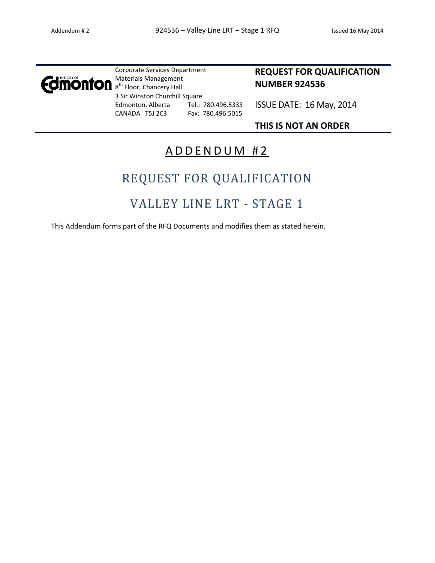

Corporate Services Department Materials Management 8<sup>th</sup> Floor, Chancery Hall 3 Sir Winston Churchill Square Edmonton, Alberta Tel.: 780.496.5333 CANADA T5J 2C3 Fax: 780.496.5015

# **REQUEST FOR QUALIFICATION NUMBER 924536**

ISSUE DATE: 16 May, 2014

**THIS IS NOT AN ORDER**

# ADDENDUM #2

# REQUEST FOR QUALIFICATION

# VALLEY LINE LRT - STAGE 1

This Addendum forms part of the RFQ Documents and modifies them as stated herein.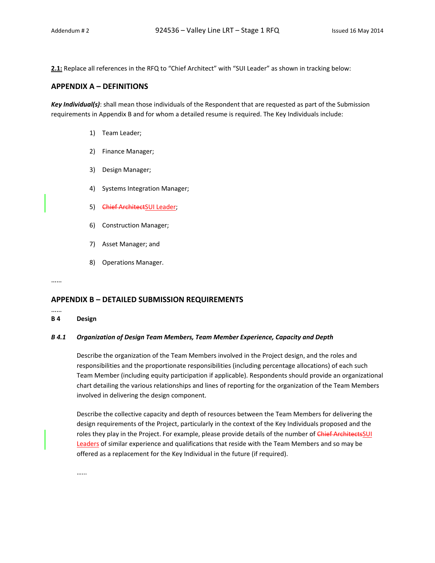2.1: Replace all references in the RFQ to "Chief Architect" with "SUI Leader" as shown in tracking below:

### **APPENDIX A – DEFINITIONS**

*Key Individual(s)*: shall mean those individuals of the Respondent that are requested as part of the Submission requirements in Appendix B and for whom a detailed resume is required. The Key Individuals include:

- 1) Team Leader;
- 2) Finance Manager;
- 3) Design Manager;
- 4) Systems Integration Manager;
- 5) Chief ArchitectSUI Leader;
- 6) Construction Manager;
- 7) Asset Manager; and
- 8) Operations Manager.

……

# **APPENDIX B – DETAILED SUBMISSION REQUIREMENTS**

……

#### **B 4 Design**

#### *B 4.1 Organization of Design Team Members, Team Member Experience, Capacity and Depth*

Describe the organization of the Team Members involved in the Project design, and the roles and responsibilities and the proportionate responsibilities (including percentage allocations) of each such Team Member (including equity participation if applicable). Respondents should provide an organizational chart detailing the various relationships and lines of reporting for the organization of the Team Members involved in delivering the design component.

Describe the collective capacity and depth of resources between the Team Members for delivering the design requirements of the Project, particularly in the context of the Key Individuals proposed and the roles they play in the Project. For example, please provide details of the number of Chief Architects SUI Leaders of similar experience and qualifications that reside with the Team Members and so may be offered as a replacement for the Key Individual in the future (if required).

…...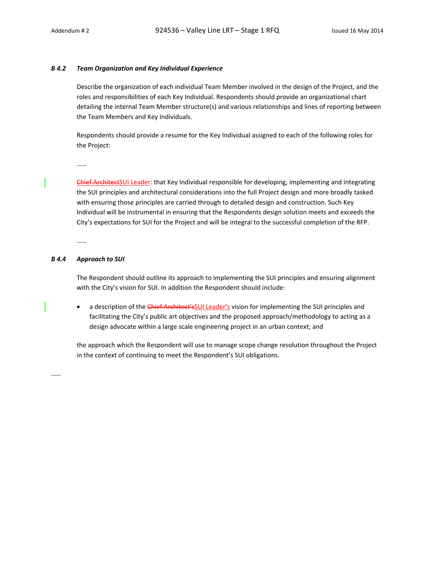#### *B 4.2 Team Organization and Key Individual Experience*

Describe the organization of each individual Team Member involved in the design of the Project, and the roles and responsibilities of each Key Individual. Respondents should provide an organizational chart detailing the internal Team Member structure(s) and various relationships and lines of reporting between the Team Members and Key Individuals.

Respondents should provide a resume for the Key Individual assigned to each of the following roles for the Project:

……

Chief ArchitectSUI Leader: that Key Individual responsible for developing, implementing and integrating the SUI principles and architectural considerations into the full Project design and more broadly tasked with ensuring those principles are carried through to detailed design and construction. Such Key Individual will be instrumental in ensuring that the Respondents design solution meets and exceeds the City's expectations for SUI for the Project and will be integral to the successful completion of the RFP.

……

#### *B 4.4 Approach to SUI*

The Respondent should outline its approach to implementing the SUI principles and ensuring alignment with the City's vision for SUI. In addition the Respondent should include:

• a description of the Chief Architect'sSUI Leader's vision for implementing the SUI principles and facilitating the City's public art objectives and the proposed approach/methodology to acting as a design advocate within a large scale engineering project in an urban context; and

the approach which the Respondent will use to manage scope change resolution throughout the Project in the context of continuing to meet the Respondent's SUI obligations.

……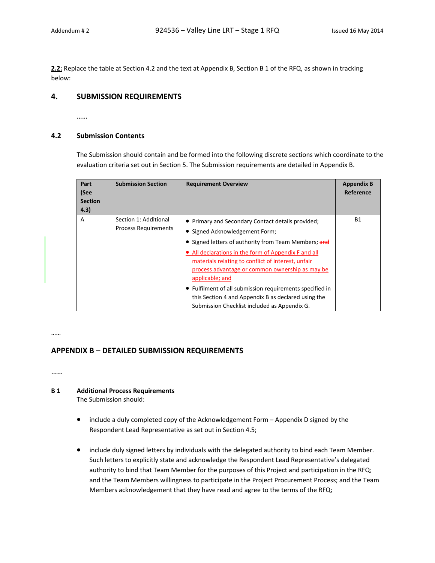**2.2:** Replace the table at Section 4.2 and the text at Appendix B, Section B 1 of the RFQ, as shown in tracking below:

# **4. SUBMISSION REQUIREMENTS**

……

### **4.2 Submission Contents**

The Submission should contain and be formed into the following discrete sections which coordinate to the evaluation criteria set out in Section 5. The Submission requirements are detailed in Appendix B.

| Part<br>(See<br><b>Section</b><br>4.3) | <b>Submission Section</b>                            | <b>Requirement Overview</b>                                                                                                                                                                                                                                                                                                                                                                                                                                                                        | <b>Appendix B</b><br>Reference |
|----------------------------------------|------------------------------------------------------|----------------------------------------------------------------------------------------------------------------------------------------------------------------------------------------------------------------------------------------------------------------------------------------------------------------------------------------------------------------------------------------------------------------------------------------------------------------------------------------------------|--------------------------------|
| A                                      | Section 1: Additional<br><b>Process Requirements</b> | • Primary and Secondary Contact details provided;<br>• Signed Acknowledgement Form;<br>• Signed letters of authority from Team Members; and<br>• All declarations in the form of Appendix F and all<br>materials relating to conflict of interest, unfair<br>process advantage or common ownership as may be<br>applicable; and<br>• Fulfilment of all submission requirements specified in<br>this Section 4 and Appendix B as declared using the<br>Submission Checklist included as Appendix G. | <b>B1</b>                      |

……

# **APPENDIX B – DETAILED SUBMISSION REQUIREMENTS**

……

# **B 1 Additional Process Requirements**

The Submission should:

- include a duly completed copy of the Acknowledgement Form Appendix D signed by the Respondent Lead Representative as set out in Section 4.5;
- include duly signed letters by individuals with the delegated authority to bind each Team Member. Such letters to explicitly state and acknowledge the Respondent Lead Representative's delegated authority to bind that Team Member for the purposes of this Project and participation in the RFQ; and the Team Members willingness to participate in the Project Procurement Process; and the Team Members acknowledgement that they have read and agree to the terms of the RFQ;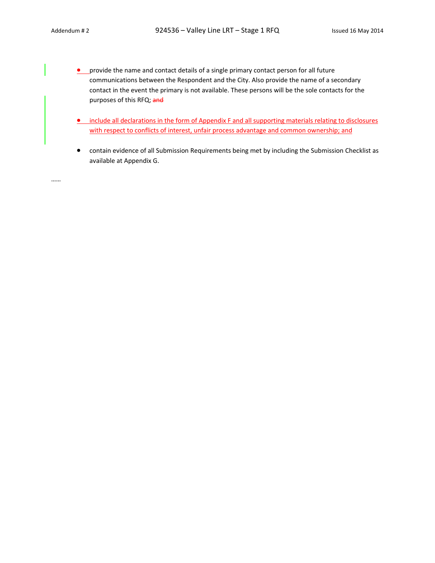- **•** provide the name and contact details of a single primary contact person for all future communications between the Respondent and the City. Also provide the name of a secondary contact in the event the primary is not available. These persons will be the sole contacts for the purposes of this RFQ; and
- **.** include all declarations in the form of Appendix F and all supporting materials relating to disclosures with respect to conflicts of interest, unfair process advantage and common ownership; and
- contain evidence of all Submission Requirements being met by including the Submission Checklist as available at Appendix G.

……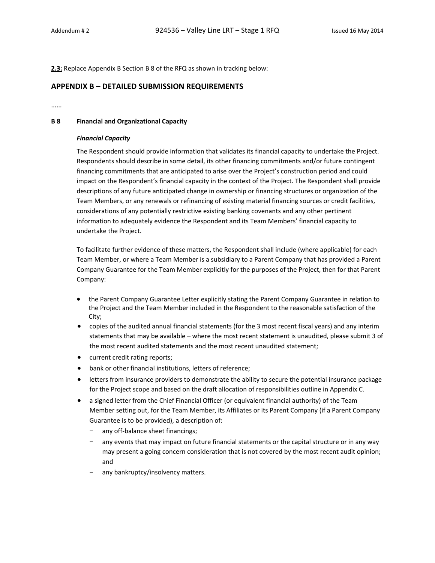**2.3:** Replace Appendix B Section B 8 of the RFQ as shown in tracking below:

### **APPENDIX B – DETAILED SUBMISSION REQUIREMENTS**

……

#### **B 8 Financial and Organizational Capacity**

#### *Financial Capacity*

The Respondent should provide information that validates its financial capacity to undertake the Project. Respondents should describe in some detail, its other financing commitments and/or future contingent financing commitments that are anticipated to arise over the Project's construction period and could impact on the Respondent's financial capacity in the context of the Project. The Respondent shall provide descriptions of any future anticipated change in ownership or financing structures or organization of the Team Members, or any renewals or refinancing of existing material financing sources or credit facilities, considerations of any potentially restrictive existing banking covenants and any other pertinent information to adequately evidence the Respondent and its Team Members' financial capacity to undertake the Project.

To facilitate further evidence of these matters, the Respondent shall include (where applicable) for each Team Member, or where a Team Member is a subsidiary to a Parent Company that has provided a Parent Company Guarantee for the Team Member explicitly for the purposes of the Project, then for that Parent Company:

- the Parent Company Guarantee Letter explicitly stating the Parent Company Guarantee in relation to the Project and the Team Member included in the Respondent to the reasonable satisfaction of the City;
- copies of the audited annual financial statements (for the 3 most recent fiscal years) and any interim statements that may be available – where the most recent statement is unaudited, please submit 3 of the most recent audited statements and the most recent unaudited statement;
- current credit rating reports;
- bank or other financial institutions, letters of reference;
- letters from insurance providers to demonstrate the ability to secure the potential insurance package for the Project scope and based on the draft allocation of responsibilities outline in Appendix C.
- a signed letter from the Chief Financial Officer (or equivalent financial authority) of the Team Member setting out, for the Team Member, its Affiliates or its Parent Company (if a Parent Company Guarantee is to be provided), a description of:
	- any off-balance sheet financings;
	- any events that may impact on future financial statements or the capital structure or in any way may present a going concern consideration that is not covered by the most recent audit opinion; and
	- any bankruptcy/insolvency matters.